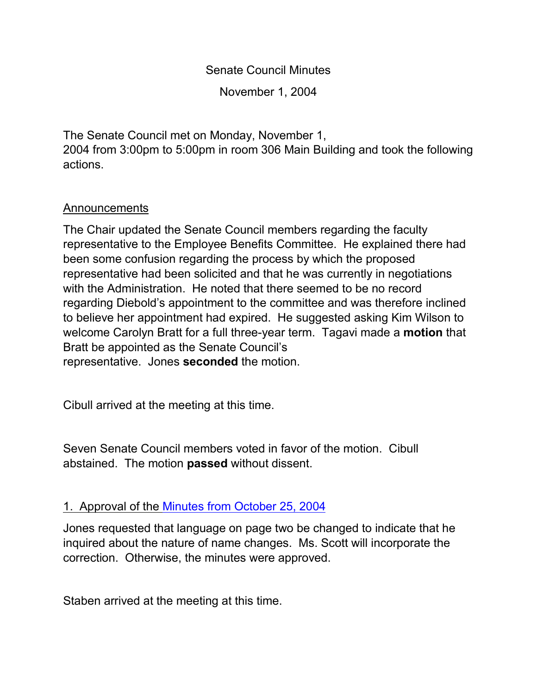Senate Council Minutes

November 1, 2004

The Senate Council met on Monday, November 1,

2004 from 3:00pm to 5:00pm in room 306 Main Building and took the following actions.

#### Announcements

The Chair updated the Senate Council members regarding the faculty representative to the Employee Benefits Committee. He explained there had been some confusion regarding the process by which the proposed representative had been solicited and that he was currently in negotiations with the Administration. He noted that there seemed to be no record regarding Diebold's appointment to the committee and was therefore inclined to believe her appointment had expired. He suggested asking Kim Wilson to welcome Carolyn Bratt for a full three-year term. Tagavi made a **motion** that Bratt be appointed as the Senate Council's representative. Jones **seconded** the motion.

Cibull arrived at the meeting at this time.

Seven Senate Council members voted in favor of the motion. Cibull abstained. The motion **passed** without dissent.

## 1. Approval of the Minutes from [October 25, 2004](http://www.uky.edu/USC/New/SCMinutes/SC%20Minutes%20Oct%2025-ejy.htm)

Jones requested that language on page two be changed to indicate that he inquired about the nature of name changes. Ms. Scott will incorporate the correction. Otherwise, the minutes were approved.

Staben arrived at the meeting at this time.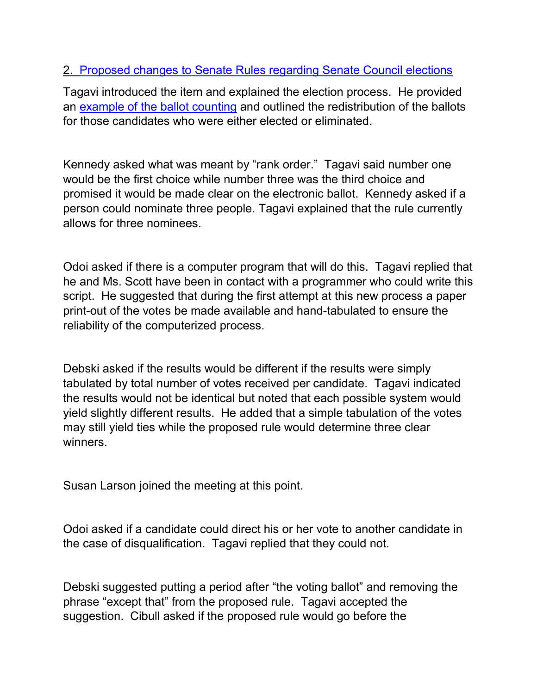## 2. [Proposed changes to Senate Rules regarding Senate Council elections](http://www.uky.edu/USC/New/SCAgendas/20041101/RC-024%20--%20sc%20elections-v13-clean.doc)

Tagavi introduced the item and explained the election process. He provided an [example of the ballot counting](http://www.uky.edu/USC/New/SCAgendas/20041101/ballots%20V2.xls) and outlined the redistribution of the ballots for those candidates who were either elected or eliminated.

Kennedy asked what was meant by "rank order." Tagavi said number one would be the first choice while number three was the third choice and promised it would be made clear on the electronic ballot. Kennedy asked if a person could nominate three people. Tagavi explained that the rule currently allows for three nominees.

Odoi asked if there is a computer program that will do this. Tagavi replied that he and Ms. Scott have been in contact with a programmer who could write this script. He suggested that during the first attempt at this new process a paper print-out of the votes be made available and hand-tabulated to ensure the reliability of the computerized process.

Debski asked if the results would be different if the results were simply tabulated by total number of votes received per candidate. Tagavi indicated the results would not be identical but noted that each possible system would yield slightly different results. He added that a simple tabulation of the votes may still yield ties while the proposed rule would determine three clear winners.

Susan Larson joined the meeting at this point.

Odoi asked if a candidate could direct his or her vote to another candidate in the case of disqualification. Tagavi replied that they could not.

Debski suggested putting a period after "the voting ballot" and removing the phrase "except that" from the proposed rule. Tagavi accepted the suggestion. Cibull asked if the proposed rule would go before the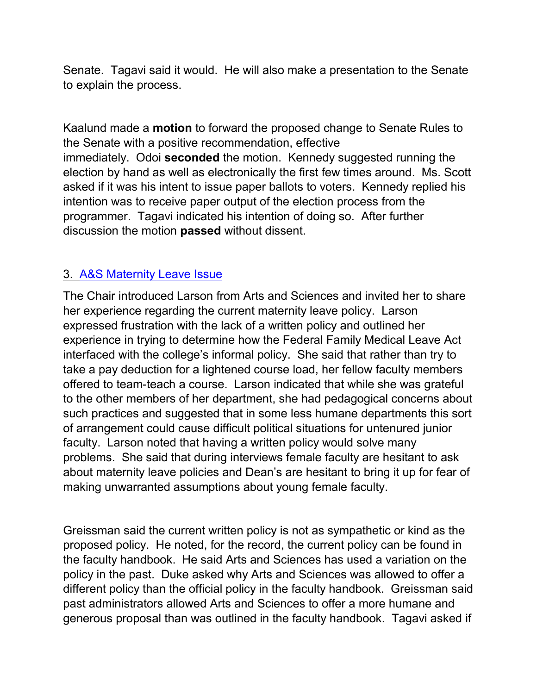Senate. Tagavi said it would. He will also make a presentation to the Senate to explain the process.

Kaalund made a **motion** to forward the proposed change to Senate Rules to the Senate with a positive recommendation, effective immediately. Odoi **seconded** the motion. Kennedy suggested running the election by hand as well as electronically the first few times around. Ms. Scott asked if it was his intent to issue paper ballots to voters. Kennedy replied his intention was to receive paper output of the election process from the programmer. Tagavi indicated his intention of doing so. After further discussion the motion **passed** without dissent.

#### 3. [A&S Maternity Leave Issue](http://www.uky.edu/USC/New/SCAgendas/20041025/Email%20from%20Provost.htm)

The Chair introduced Larson from Arts and Sciences and invited her to share her experience regarding the current maternity leave policy. Larson expressed frustration with the lack of a written policy and outlined her experience in trying to determine how the Federal Family Medical Leave Act interfaced with the college's informal policy. She said that rather than try to take a pay deduction for a lightened course load, her fellow faculty members offered to team-teach a course. Larson indicated that while she was grateful to the other members of her department, she had pedagogical concerns about such practices and suggested that in some less humane departments this sort of arrangement could cause difficult political situations for untenured junior faculty. Larson noted that having a written policy would solve many problems. She said that during interviews female faculty are hesitant to ask about maternity leave policies and Dean's are hesitant to bring it up for fear of making unwarranted assumptions about young female faculty.

Greissman said the current written policy is not as sympathetic or kind as the proposed policy. He noted, for the record, the current policy can be found in the faculty handbook. He said Arts and Sciences has used a variation on the policy in the past. Duke asked why Arts and Sciences was allowed to offer a different policy than the official policy in the faculty handbook. Greissman said past administrators allowed Arts and Sciences to offer a more humane and generous proposal than was outlined in the faculty handbook. Tagavi asked if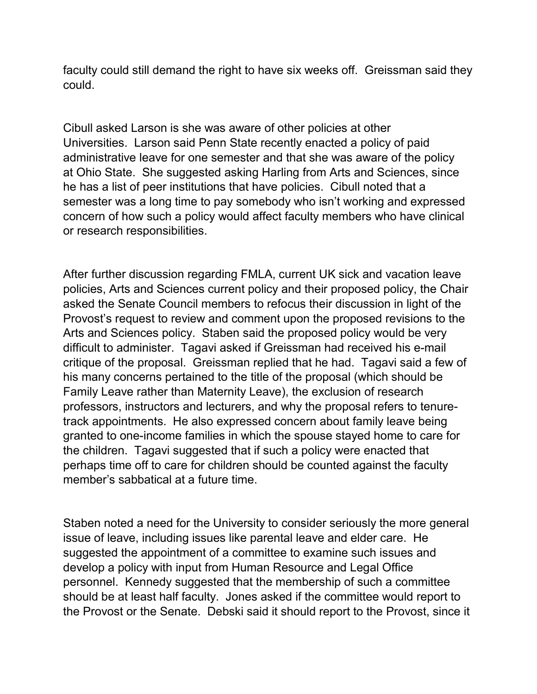faculty could still demand the right to have six weeks off. Greissman said they could.

Cibull asked Larson is she was aware of other policies at other Universities. Larson said Penn State recently enacted a policy of paid administrative leave for one semester and that she was aware of the policy at Ohio State. She suggested asking Harling from Arts and Sciences, since he has a list of peer institutions that have policies. Cibull noted that a semester was a long time to pay somebody who isn't working and expressed concern of how such a policy would affect faculty members who have clinical or research responsibilities.

After further discussion regarding FMLA, current UK sick and vacation leave policies, Arts and Sciences current policy and their proposed policy, the Chair asked the Senate Council members to refocus their discussion in light of the Provost's request to review and comment upon the proposed revisions to the Arts and Sciences policy. Staben said the proposed policy would be very difficult to administer. Tagavi asked if Greissman had received his e-mail critique of the proposal. Greissman replied that he had. Tagavi said a few of his many concerns pertained to the title of the proposal (which should be Family Leave rather than Maternity Leave), the exclusion of research professors, instructors and lecturers, and why the proposal refers to tenuretrack appointments. He also expressed concern about family leave being granted to one-income families in which the spouse stayed home to care for the children. Tagavi suggested that if such a policy were enacted that perhaps time off to care for children should be counted against the faculty member's sabbatical at a future time.

Staben noted a need for the University to consider seriously the more general issue of leave, including issues like parental leave and elder care. He suggested the appointment of a committee to examine such issues and develop a policy with input from Human Resource and Legal Office personnel. Kennedy suggested that the membership of such a committee should be at least half faculty. Jones asked if the committee would report to the Provost or the Senate. Debski said it should report to the Provost, since it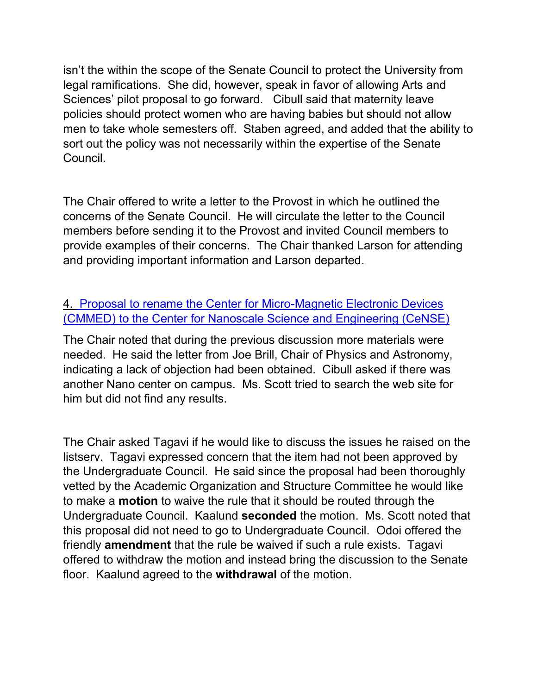isn't the within the scope of the Senate Council to protect the University from legal ramifications. She did, however, speak in favor of allowing Arts and Sciences' pilot proposal to go forward. Cibull said that maternity leave policies should protect women who are having babies but should not allow men to take whole semesters off. Staben agreed, and added that the ability to sort out the policy was not necessarily within the expertise of the Senate Council.

The Chair offered to write a letter to the Provost in which he outlined the concerns of the Senate Council. He will circulate the letter to the Council members before sending it to the Provost and invited Council members to provide examples of their concerns. The Chair thanked Larson for attending and providing important information and Larson departed.

## 4. [Proposal to rename the Center for Micro-Magnetic Electronic Devices](http://www.uky.edu/USC/Comms/AOS/04-05/CMMED.pdf)  [\(CMMED\) to the Center for Nanoscale Science and Engineering \(CeNSE\)](http://www.uky.edu/USC/Comms/AOS/04-05/CMMED.pdf)

The Chair noted that during the previous discussion more materials were needed. He said the letter from Joe Brill, Chair of Physics and Astronomy, indicating a lack of objection had been obtained. Cibull asked if there was another Nano center on campus. Ms. Scott tried to search the web site for him but did not find any results.

The Chair asked Tagavi if he would like to discuss the issues he raised on the listserv. Tagavi expressed concern that the item had not been approved by the Undergraduate Council. He said since the proposal had been thoroughly vetted by the Academic Organization and Structure Committee he would like to make a **motion** to waive the rule that it should be routed through the Undergraduate Council. Kaalund **seconded** the motion. Ms. Scott noted that this proposal did not need to go to Undergraduate Council. Odoi offered the friendly **amendment** that the rule be waived if such a rule exists. Tagavi offered to withdraw the motion and instead bring the discussion to the Senate floor. Kaalund agreed to the **withdrawal** of the motion.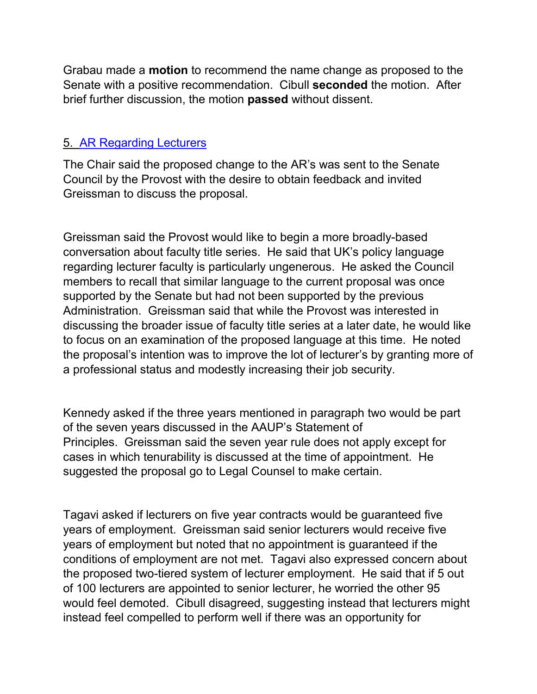Grabau made a **motion** to recommend the name change as proposed to the Senate with a positive recommendation. Cibull **seconded** the motion. After brief further discussion, the motion **passed** without dissent.

## 5. [AR Regarding Lecturers](http://www.uky.edu/USC/New/SCAgendas/20041025/Appointment%20&%20Service%20of%20Lecturer%20Faculty.pdf)

The Chair said the proposed change to the AR's was sent to the Senate Council by the Provost with the desire to obtain feedback and invited Greissman to discuss the proposal.

Greissman said the Provost would like to begin a more broadly-based conversation about faculty title series. He said that UK's policy language regarding lecturer faculty is particularly ungenerous. He asked the Council members to recall that similar language to the current proposal was once supported by the Senate but had not been supported by the previous Administration. Greissman said that while the Provost was interested in discussing the broader issue of faculty title series at a later date, he would like to focus on an examination of the proposed language at this time. He noted the proposal's intention was to improve the lot of lecturer's by granting more of a professional status and modestly increasing their job security.

Kennedy asked if the three years mentioned in paragraph two would be part of the seven years discussed in the AAUP's Statement of Principles. Greissman said the seven year rule does not apply except for cases in which tenurability is discussed at the time of appointment. He suggested the proposal go to Legal Counsel to make certain.

Tagavi asked if lecturers on five year contracts would be guaranteed five years of employment. Greissman said senior lecturers would receive five years of employment but noted that no appointment is guaranteed if the conditions of employment are not met. Tagavi also expressed concern about the proposed two-tiered system of lecturer employment. He said that if 5 out of 100 lecturers are appointed to senior lecturer, he worried the other 95 would feel demoted. Cibull disagreed, suggesting instead that lecturers might instead feel compelled to perform well if there was an opportunity for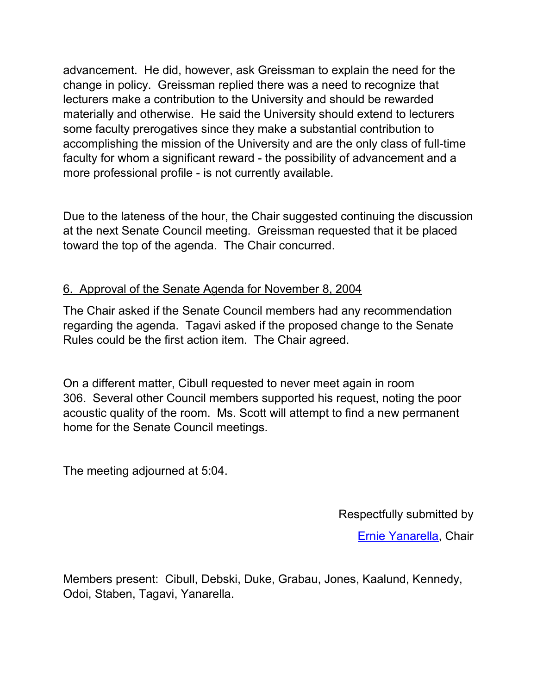advancement. He did, however, ask Greissman to explain the need for the change in policy. Greissman replied there was a need to recognize that lecturers make a contribution to the University and should be rewarded materially and otherwise. He said the University should extend to lecturers some faculty prerogatives since they make a substantial contribution to accomplishing the mission of the University and are the only class of full-time faculty for whom a significant reward - the possibility of advancement and a more professional profile - is not currently available.

Due to the lateness of the hour, the Chair suggested continuing the discussion at the next Senate Council meeting. Greissman requested that it be placed toward the top of the agenda. The Chair concurred.

# 6. Approval of the Senate Agenda for November 8, 2004

The Chair asked if the Senate Council members had any recommendation regarding the agenda. Tagavi asked if the proposed change to the Senate Rules could be the first action item. The Chair agreed.

On a different matter, Cibull requested to never meet again in room 306. Several other Council members supported his request, noting the poor acoustic quality of the room. Ms. Scott will attempt to find a new permanent home for the Senate Council meetings.

The meeting adjourned at 5:04.

Respectfully submitted by

[Ernie Yanarella,](mailto:ejyana@email.uky.edu) Chair

Members present: Cibull, Debski, Duke, Grabau, Jones, Kaalund, Kennedy, Odoi, Staben, Tagavi, Yanarella.